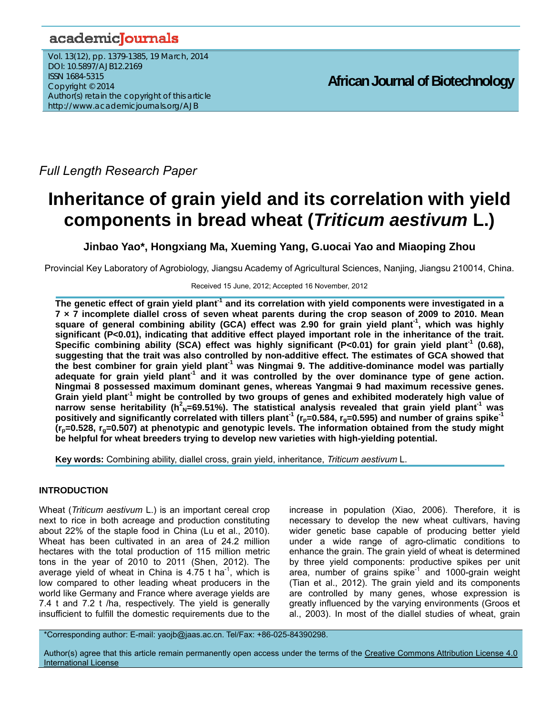# academicJournals

Vol. 13(12), pp. 1379-1385, 19 March, 2014 DOI: 10.5897/AJB12.2169 ISSN 1684-5315 Copyright © 2014 Author(s) retain the copyright of this article http://www.academicjournals.org/AJB

*Full Length Research Paper*

# **Inheritance of grain yield and its correlation with yield components in bread wheat (***Triticum aestivum* **L.)**

**Jinbao Yao\*, Hongxiang Ma, Xueming Yang, G.uocai Yao and Miaoping Zhou** 

Provincial Key Laboratory of Agrobiology, Jiangsu Academy of Agricultural Sciences, Nanjing, Jiangsu 210014, China.

#### Received 15 June, 2012; Accepted 16 November, 2012

**The genetic effect of grain yield plant-1 and its correlation with yield components were investigated in a 7 × 7 incomplete diallel cross of seven wheat parents during the crop season of 2009 to 2010. Mean square of general combining ability (GCA) effect was 2.90 for grain yield plant-1, which was highly significant (P<0.01), indicating that additive effect played important role in the inheritance of the trait. Specific combining ability (SCA) effect was highly significant (P<0.01) for grain yield plant-1 (0.68), suggesting that the trait was also controlled by non-additive effect. The estimates of GCA showed that the best combiner for grain yield plant-1 was Ningmai 9. The additive-dominance model was partially adequate for grain yield plant-1 and it was controlled by the over dominance type of gene action. Ningmai 8 possessed maximum dominant genes, whereas Yangmai 9 had maximum recessive genes. Grain yield plant-1 might be controlled by two groups of genes and exhibited moderately high value of**  narrow sense heritability (h<sup>2</sup><sub>N</sub>=69.51%). The statistical analysis revealed that grain yield plant<sup>-1</sup> was **positively and significantly correlated with tillers plant<sup>-1</sup> (r<sub>p</sub>=0.584, r<sub>g</sub>=0.595) and number of grains spike<sup>-1</sup>**  $(r_p=0.528, r_q=0.507)$  at phenotypic and genotypic levels. The information obtained from the study might **be helpful for wheat breeders trying to develop new varieties with high-yielding potential.** 

**Key words:** Combining ability, diallel cross, grain yield, inheritance, *Triticum aestivum* L.

# **INTRODUCTION**

Wheat (*Triticum aestivum* L.) is an important cereal crop next to rice in both acreage and production constituting about 22% of the staple food in China (Lu et al., 2010). Wheat has been cultivated in an area of 24.2 million hectares with the total production of 115 million metric tons in the year of 2010 to 2011 (Shen, 2012). The average yield of wheat in China is  $4.75$  t ha<sup>-1</sup>, which is low compared to other leading wheat producers in the world like Germany and France where average yields are 7.4 t and 7.2 t /ha, respectively. The yield is generally insufficient to fulfill the domestic requirements due to the

increase in population (Xiao, 2006). Therefore, it is necessary to develop the new wheat cultivars, having wider genetic base capable of producing better yield under a wide range of agro-climatic conditions to enhance the grain. The grain yield of wheat is determined by three yield components: productive spikes per unit area, number of grains spike<sup>-1</sup> and 1000-grain weight (Tian et al., 2012). The grain yield and its components are controlled by many genes, whose expression is greatly influenced by the varying environments (Groos et al., 2003). In most of the diallel studies of wheat, grain

\*Corresponding author: E-mail: yaojb@jaas.ac.cn. Tel/Fax: +86-025-84390298.

Author(s) agree that this article remain permanently open access under the terms of the Creative Commons Attribution License 4.0 International License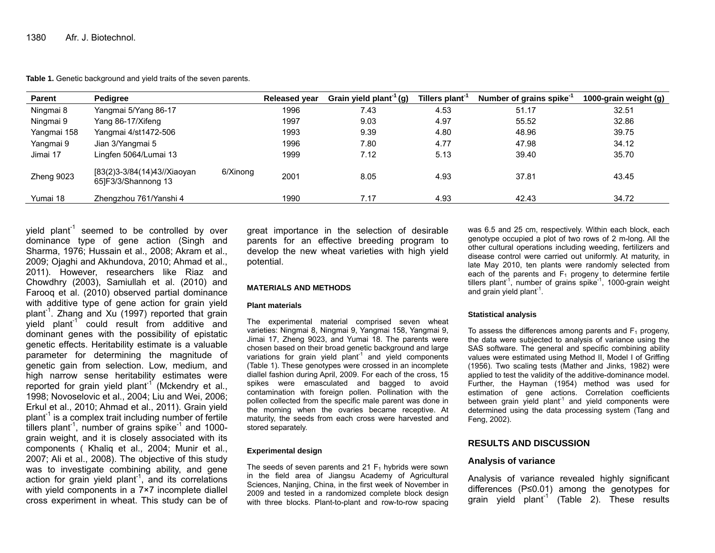**Table 1.** Genetic background and yield traits of the seven parents.

| <b>Parent</b> | <b>Pedigree</b>                                    |          | <b>Released year</b> | Grain yield plant <sup>-1</sup> (g) | Tillers plant <sup>-1</sup> | Number of grains spike <sup>-1</sup> | 1000-grain weight (g) |
|---------------|----------------------------------------------------|----------|----------------------|-------------------------------------|-----------------------------|--------------------------------------|-----------------------|
| Ningmai 8     | Yangmai 5/Yang 86-17                               |          | 1996                 | 7.43                                | 4.53                        | 51.17                                | 32.51                 |
| Ningmai 9     | Yang 86-17/Xifeng                                  |          | 1997                 | 9.03                                | 4.97                        | 55.52                                | 32.86                 |
| Yangmai 158   | Yangmai 4/st1472-506                               |          | 1993                 | 9.39                                | 4.80                        | 48.96                                | 39.75                 |
| Yangmai 9     | Jian 3/Yangmai 5                                   |          | 1996                 | 7.80                                | 4.77                        | 47.98                                | 34.12                 |
| Jimai 17      | Lingfen 5064/Lumai 13                              |          | 1999                 | 7.12                                | 5.13                        | 39.40                                | 35.70                 |
| Zheng 9023    | [83(2)3-3/84(14)43//Xiaoyan<br>65]F3/3/Shannong 13 | 6/Xinong | 2001                 | 8.05                                | 4.93                        | 37.81                                | 43.45                 |
| Yumai 18      | Zhengzhou 761/Yanshi 4                             |          | 1990                 | 7.17                                | 4.93                        | 42.43                                | 34.72                 |

yield plant<sup>-1</sup> seemed to be controlled by over dominance type of gene action (Singh and Sharma, 1976; Hussain et al., 2008; Akram et al., 2009; Ojaghi and Akhundova, 2010; Ahmad et al., 2011). However, researchers like Riaz and Chowdhry (2003), Samiullah et al. (2010) and Farooq et al. (2010) observed partial dominance with additive type of gene action for grain yield plant<sup>-1</sup>. Zhang and Xu (1997) reported that grain yield plant<sup>-1</sup> could result from additive and dominant genes with the possibility of epistatic genetic effects. Heritability estimate is a valuable parameter for determining the magnitude of genetic gain from selection. Low, medium, and high narrow sense heritability estimates were reported for grain yield plant<sup>-1</sup> (Mckendry et al., 1998; Novoselovic et al., 2004; Liu and Wei, 2006; Erkul et al., 2010; Ahmad et al., 2011). Grain yield plant<sup>-1</sup> is a complex trait including number of fertile tillers plant<sup>-1</sup>, number of grains spike<sup>-1</sup> and 1000grain weight, and it is closely associated with its components ( Khaliq et al., 2004; Munir et al., 2007; Ali et al., 2008). The objective of this study was to investigate combining ability, and gene action for grain yield plant<sup>-1</sup>, and its correlations with yield components in a 7×7 incomplete diallel cross experiment in wheat. This study can be of

great importance in the selection of desirable parents for an effective breeding program to develop the new wheat varieties with high yield potential.

#### **MATERIALS AND METHODS**

#### **Plant materials**

The experimental material comprised seven wheat varieties: Ningmai 8, Ningmai 9, Yangmai 158, Yangmai 9, Jimai 17, Zheng 9023, and Yumai 18. The parents were chosen based on their broad genetic background and large variations for grain yield  $p$ lant<sup>-1</sup> and yield components (Table 1). These genotypes were crossed in an incomplete diallel fashion during April, 2009. For each of the cross, 15 spikes were emasculated and bagged to avoid contamination with foreign pollen. Pollination with the pollen collected from the specific male parent was done in the morning when the ovaries became receptive. At maturity, the seeds from each cross were harvested and stored separately.

#### **Experimental design**

The seeds of seven parents and 21  $F_1$  hybrids were sown in the field area of Jiangsu Academy of Agricultural Sciences, Nanjing, China, in the first week of November in 2009 and tested in a randomized complete block design with three blocks. Plant-to-plant and row-to-row spacing was 6.5 and 25 cm, respectively. Within each block, each genotype occupied a plot of two rows of 2 m-long. All the other cultural operations including weeding, fertilizers and disease control were carried out uniformly. At maturity, in late May 2010, ten plants were randomly selected from each of the parents and  $F_1$  progeny to determine fertile tillers plant<sup>-1</sup>, number of grains spike<sup>-1</sup>, 1000-grain weight and grain yield plant $^{-1}$ .

#### **Statistical analysis**

To assess the differences among parents and  $F_1$  progeny, the data were subjected to analysis of variance using the SAS software. The general and specific combining ability values were estimated using Method II, Model I of Griffing (1956). Two scaling tests (Mather and Jinks, 1982) were applied to test the validity of the additive-dominance model. Further, the Hayman (1954) method was used for estimation of gene actions. Correlation coefficients between grain yield plant<sup>1</sup> and yield components were determined using the data processing system (Tang and Feng, 2002).

## **RESULTS AND DISCUSSION**

## **Analysis of variance**

Analysis of variance revealed highly significant differences (P≤0.01) among the genotypes for grain yield plant<sup>1</sup> (Table 2). These results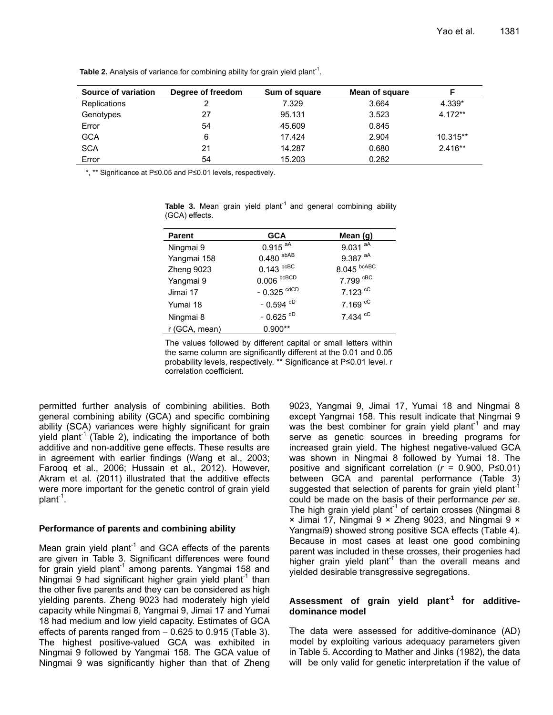| Source of variation | Degree of freedom | Sum of square | Mean of square |           |
|---------------------|-------------------|---------------|----------------|-----------|
| <b>Replications</b> |                   | 7.329         | 3.664          | 4.339*    |
| Genotypes           | 27                | 95.131        | 3.523          | $4.172**$ |
| Error               | 54                | 45.609        | 0.845          |           |
| <b>GCA</b>          | 6                 | 17.424        | 2.904          | 10.315**  |
| <b>SCA</b>          | 21                | 14.287        | 0.680          | $2.416**$ |
| Error               | 54                | 15.203        | 0.282          |           |

**Table 2.** Analysis of variance for combining ability for grain yield plant<sup>-1</sup>.

\*, \*\* Significance at P≤0.05 and P≤0.01 levels, respectively.

| <b>Parent</b> | <b>GCA</b>             | Mean $(q)$            |
|---------------|------------------------|-----------------------|
| Ningmai 9     | $0.915$ <sup>aA</sup>  | $9.031$ <sup>aA</sup> |
| Yangmai 158   | $0.480$ abAB           | $9.387$ <sup>aA</sup> |
| Zheng 9023    | $0.143$ bcBC           | $8.045$ bcABC         |
| Yangmai 9     | $0.006$ bcBCD          | 7.799 CBC             |
| Jimai 17      | $-0.325$ $\text{cdCD}$ | $7.123$ cC            |
| Yumai 18      | $-0.594$ <sup>dD</sup> | 7.169 <sup>cC</sup>   |
| Ningmai 8     | $-0.625$ <sup>dD</sup> | 7.434 cC              |
| r (GCA, mean) | $0.900**$              |                       |

Table 3. Mean grain yield plant<sup>1</sup> and general combining ability (GCA) effects.

The values followed by different capital or small letters within the same column are significantly different at the 0.01 and 0.05 probability levels, respectively. \*\* Significance at P≤0.01 level. r correlation coefficient.

permitted further analysis of combining abilities. Both general combining ability (GCA) and specific combining ability (SCA) variances were highly significant for grain yield plant<sup>-1</sup> (Table 2), indicating the importance of both additive and non-additive gene effects. These results are in agreement with earlier findings (Wang et al., 2003; Farooq et al., 2006; Hussain et al., 2012). However, Akram et al. (2011) illustrated that the additive effects were more important for the genetic control of grain yield plant<sup>-1</sup>.

#### **Performance of parents and combining ability**

Mean grain yield plant<sup>-1</sup> and GCA effects of the parents are given in Table 3. Significant differences were found for grain yield plant<sup>-1</sup> among parents. Yangmai 158 and Ningmai 9 had significant higher grain yield plant<sup>-1</sup> than the other five parents and they can be considered as high yielding parents. Zheng 9023 had moderately high yield capacity while Ningmai 8, Yangmai 9, Jimai 17 and Yumai 18 had medium and low yield capacity. Estimates of GCA effects of parents ranged from  $-0.625$  to 0.915 (Table 3). The highest positive-valued GCA was exhibited in Ningmai 9 followed by Yangmai 158. The GCA value of Ningmai 9 was significantly higher than that of Zheng

9023, Yangmai 9, Jimai 17, Yumai 18 and Ningmai 8 except Yangmai 158. This result indicate that Ningmai 9 was the best combiner for grain yield plant<sup>1</sup> and may serve as genetic sources in breeding programs for increased grain yield. The highest negative-valued GCA was shown in Ningmai 8 followed by Yumai 18. The positive and significant correlation (*r* = 0.900, P≤0.01) between GCA and parental performance (Table 3) suggested that selection of parents for grain yield plant<sup>-1</sup> could be made on the basis of their performance *per se*. The high grain yield plant<sup>-1</sup> of certain crosses (Ningmai 8 × Jimai 17, Ningmai 9 × Zheng 9023, and Ningmai 9 × Yangmai9) showed strong positive SCA effects (Table 4). Because in most cases at least one good combining parent was included in these crosses, their progenies had higher grain yield plant<sup>-1</sup> than the overall means and yielded desirable transgressive segregations.

# **Assessment of grain yield plant-1 for additivedominance model**

The data were assessed for additive-dominance (AD) model by exploiting various adequacy parameters given in Table 5. According to Mather and Jinks (1982), the data will be only valid for genetic interpretation if the value of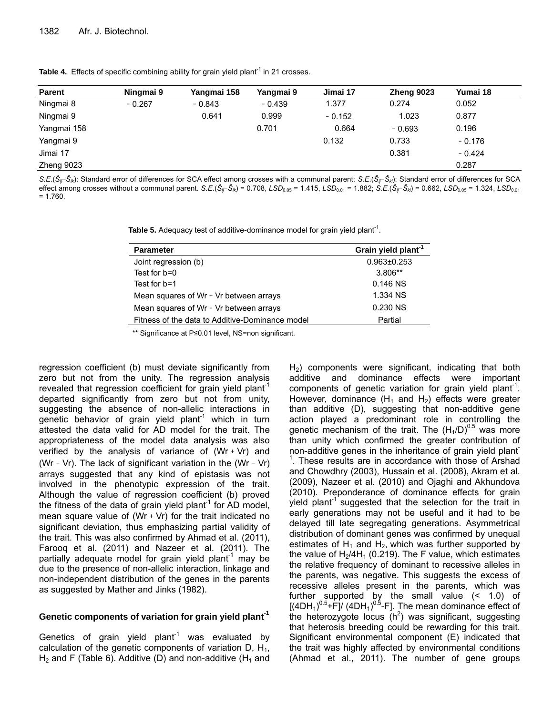|  | Table 4. Effects of specific combining ability for grain yield plant <sup>1</sup> in 21 crosses. |  |  |  |  |  |  |  |  |  |
|--|--------------------------------------------------------------------------------------------------|--|--|--|--|--|--|--|--|--|
|--|--------------------------------------------------------------------------------------------------|--|--|--|--|--|--|--|--|--|

| <b>Parent</b> | Ningmai 9 | Yangmai 158 | Yangmai 9 | Jimai 17 | Zheng 9023 | Yumai 18 |
|---------------|-----------|-------------|-----------|----------|------------|----------|
| Ningmai 8     | $-0.267$  | $-0.843$    | $-0.439$  | 1.377    | 0.274      | 0.052    |
| Ningmai 9     |           | 0.641       | 0.999     | $-0.152$ | 1.023      | 0.877    |
| Yangmai 158   |           |             | 0.701     | 0.664    | $-0.693$   | 0.196    |
| Yangmai 9     |           |             |           | 0.132    | 0.733      | $-0.176$ |
| Jimai 17      |           |             |           |          | 0.381      | $-0.424$ |
| Zheng 9023    |           |             |           |          |            | 0.287    |

*S.E.*(*ŜijŜik*): Standard error of differences for SCA effect among crosses with a communal parent; *S.E.*(*ŜijŜkl*): Standard error of differences for SCA effect among crosses without a communal parent. S.E.( $\hat{S}_{ij} - \hat{S}_{ik}$ ) = 0.708, LSD<sub>0.05</sub> = 1.415, LSD<sub>0.01</sub> = 1.882; S.E.( $\hat{S}_{ij} - \hat{S}_{ik}$ ) = 0.662, LSD<sub>0.05</sub> = 1.324, LSD<sub>0.01</sub>  $= 1.760$ 

**Table 5.** Adequacy test of additive-dominance model for grain yield plant<sup>-1</sup>.

| <b>Parameter</b>                                | Grain yield plant <sup>-1</sup> |
|-------------------------------------------------|---------------------------------|
| Joint regression (b)                            | $0.963 \pm 0.253$               |
| Test for b=0                                    | $3.806**$                       |
| Test for b=1                                    | $0.146$ NS                      |
| Mean squares of Wr + Vr between arrays          | 1.334 NS                        |
| Mean squares of Wr - Vr between arrays          | 0.230 NS                        |
| Fitness of the data to Additive-Dominance model | Partial                         |

\*\* Significance at P≤0.01 level, NS=non significant.

regression coefficient (b) must deviate significantly from zero but not from the unity. The regression analysis revealed that regression coefficient for grain yield plant<sup>-1</sup> departed significantly from zero but not from unity, suggesting the absence of non-allelic interactions in genetic behavior of grain yield plant<sup>1</sup> which in turn attested the data valid for AD model for the trait. The appropriateness of the model data analysis was also verified by the analysis of variance of  $(Wr + Vr)$  and (Wr - Vr). The lack of significant variation in the (Wr - Vr) arrays suggested that any kind of epistasis was not involved in the phenotypic expression of the trait. Although the value of regression coefficient (b) proved the fitness of the data of grain yield plant<sup>-1</sup> for AD model, mean square value of (Wr  $+$  Vr) for the trait indicated no significant deviation, thus emphasizing partial validity of the trait. This was also confirmed by Ahmad et al. (2011), Farooq et al. (2011) and Nazeer et al. (2011). The partially adequate model for grain yield plant<sup>-1</sup> may be due to the presence of non-allelic interaction, linkage and non-independent distribution of the genes in the parents as suggested by Mather and Jinks (1982).

# **Genetic components of variation for grain yield plant-1**

Genetics of grain yield plant<sup>-1</sup> was evaluated by calculation of the genetic components of variation  $D_1$ ,  $H_1$ ,  $H_2$  and F (Table 6). Additive (D) and non-additive (H<sub>1</sub> and

 $H<sub>2</sub>$ ) components were significant, indicating that both additive and dominance effects were important components of genetic variation for grain yield plant<sup>-1</sup>. However, dominance  $(H_1 \text{ and } H_2)$  effects were greater than additive (D), suggesting that non-additive gene action played a predominant role in controlling the genetic mechanism of the trait. The  $(H_1/D)^{0.5}$  was more than unity which confirmed the greater contribution of non-additive genes in the inheritance of grain yield plant-<sup>1</sup>. These results are in accordance with those of Arshad and Chowdhry (2003), Hussain et al. (2008), Akram et al. (2009), Nazeer et al. (2010) and Ojaghi and Akhundova (2010). Preponderance of dominance effects for grain yield plant<sup>-1</sup> suggested that the selection for the trait in early generations may not be useful and it had to be delayed till late segregating generations. Asymmetrical distribution of dominant genes was confirmed by unequal estimates of  $H_1$  and  $H_2$ , which was further supported by the value of  $H_2/4H_1$  (0.219). The F value, which estimates the relative frequency of dominant to recessive alleles in the parents, was negative. This suggests the excess of recessive alleles present in the parents, which was further supported by the small value (< 1.0) of  $[(4DH<sub>1</sub>)<sup>0.5</sup>+F]/(4DH<sub>1</sub>)<sup>0.5</sup>-F]$ . The mean dominance effect of the heterozygote locus  $(h^2)$  was significant, suggesting that heterosis breeding could be rewarding for this trait. Significant environmental component (E) indicated that the trait was highly affected by environmental conditions (Ahmad et al., 2011). The number of gene groups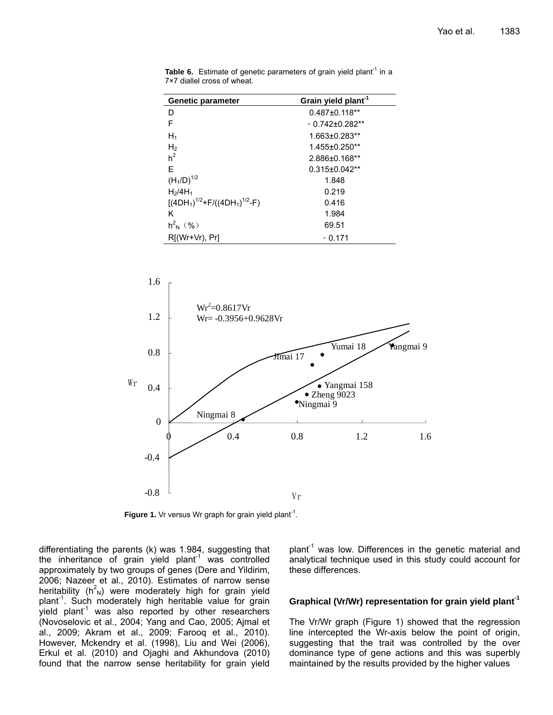| <b>Genetic parameter</b>        | Grain yield plant <sup>-1</sup> |  |  |
|---------------------------------|---------------------------------|--|--|
| D                               | $0.487 \pm 0.118**$             |  |  |
| F                               | $-0.742\pm0.282**$              |  |  |
| $H_1$                           | 1.663±0.283**                   |  |  |
| $H_2$ <sub>h</sub> <sup>2</sup> | 1.455±0.250**                   |  |  |
|                                 | 2.886±0.168**                   |  |  |
| F                               | $0.315 \pm 0.042$ **            |  |  |
| $(H_1/D)^{1/2}$                 | 1.848                           |  |  |
| H <sub>2</sub> /4H <sub>1</sub> | 0.219                           |  |  |
| $[(4DH1)1/2+F/((4DH1)1/2-F)$    | 0.416                           |  |  |
| κ                               | 1.984                           |  |  |
| $h^2$ <sub>N</sub> (%)          | 69.51                           |  |  |
| $R[(Wr+Vr), Pr]$                | $-0.171$                        |  |  |

**Table 6.** Estimate of genetic parameters of grain yield plant<sup>-1</sup> in a 7×7 diallel cross of wheat.



**Figure 1.** Vr versus Wr graph for grain yield plant<sup>-1</sup>.

differentiating the parents (k) was 1.984, suggesting that the inheritance of grain yield plant<sup>1</sup> was controlled approximately by two groups of genes (Dere and Yildirim, 2006; Nazeer et al., 2010). Estimates of narrow sense heritability ( $h^2$ <sub>N</sub>) were moderately high for grain yield plant<sup>-1</sup>. Such moderately high heritable value for grain yield plant<sup>-1</sup> was also reported by other researchers (Novoselovic et al., 2004; Yang and Cao, 2005; Ajmal et al., 2009; Akram et al., 2009; Farooq et al., 2010). However, Mckendry et al. (1998), Liu and Wei (2006), Erkul et al. (2010) and Ojaghi and Akhundova (2010) found that the narrow sense heritability for grain yield

plant $^{-1}$  was low. Differences in the genetic material and analytical technique used in this study could account for these differences.

# **Graphical (Vr/Wr) representation for grain yield plant-1**

The Vr/Wr graph (Figure 1) showed that the regression line intercepted the Wr-axis below the point of origin, suggesting that the trait was controlled by the over dominance type of gene actions and this was superbly maintained by the results provided by the higher values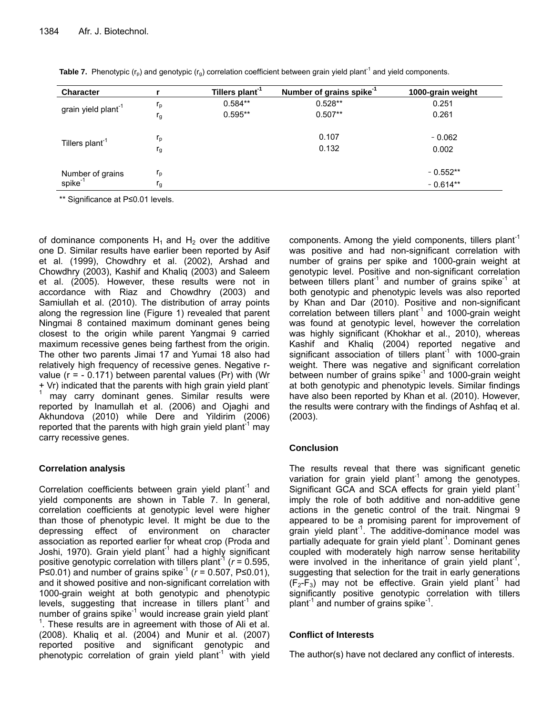| <b>Character</b>                        |         | Tillers plant <sup>-1</sup> | Number of grains spike <sup>-1</sup> | 1000-grain weight |
|-----------------------------------------|---------|-----------------------------|--------------------------------------|-------------------|
| grain yield plant <sup>-1</sup>         | $r_{p}$ | $0.584**$                   | $0.528**$                            | 0.251             |
|                                         | $r_{g}$ | $0.595**$                   | $0.507**$                            | 0.261             |
|                                         | $r_{p}$ |                             | 0.107                                | $-0.062$          |
| Tillers plant <sup>-1</sup>             | $r_{g}$ |                             | 0.132                                | 0.002             |
|                                         | $r_{p}$ |                             |                                      | $-0.552**$        |
| Number of grains<br>spike <sup>-1</sup> | I g     |                             |                                      | $-0.614**$        |

**Table 7.** Phenotypic  $(r_0)$  and genotypic  $(r_0)$  correlation coefficient between grain yield plant<sup>-1</sup> and yield components.

\*\* Significance at P≤0.01 levels.

of dominance components  $H_1$  and  $H_2$  over the additive one D. Similar results have earlier been reported by Asif et al. (1999), Chowdhry et al. (2002), Arshad and Chowdhry (2003), Kashif and Khaliq (2003) and Saleem et al. (2005). However, these results were not in accordance with Riaz and Chowdhry (2003) and Samiullah et al. (2010). The distribution of array points along the regression line (Figure 1) revealed that parent Ningmai 8 contained maximum dominant genes being closest to the origin while parent Yangmai 9 carried maximum recessive genes being farthest from the origin. The other two parents Jimai 17 and Yumai 18 also had relatively high frequency of recessive genes. Negative rvalue ( $r = -0.171$ ) between parental values ( $Pr$ ) with (Wr + Vr) indicated that the parents with high grain yield plant-1 may carry dominant genes. Similar results were reported by Inamullah et al. (2006) and Ojaghi and Akhundova (2010) while Dere and Yildirim (2006) reported that the parents with high grain yield plant<sup>-1</sup> may carry recessive genes.

# **Correlation analysis**

Correlation coefficients between grain yield plant<sup>-1</sup> and yield components are shown in Table 7. In general, correlation coefficients at genotypic level were higher than those of phenotypic level. It might be due to the depressing effect of environment on character association as reported earlier for wheat crop (Proda and Joshi, 1970). Grain yield plant<sup>1</sup> had a highly significant positive genotypic correlation with tillers plant<sup>-1</sup> ( $r = 0.595$ , P≤0.01) and number of grains spike<sup>-1</sup> (*r* = 0.507, P≤0.01), and it showed positive and non-significant correlation with 1000-grain weight at both genotypic and phenotypic levels, suggesting that increase in tillers plant<sup>-1</sup> and number of grains spike $^{-1}$  would increase grain yield plant  $1$ . These results are in agreement with those of Ali et al. (2008). Khaliq et al. (2004) and Munir et al. (2007) reported positive and significant genotypic and phenotypic correlation of grain yield plant<sup>-1</sup> with yield

components. Among the yield components, tillers plant<sup>-1</sup> was positive and had non-significant correlation with number of grains per spike and 1000-grain weight at genotypic level. Positive and non-significant correlation between tillers plant<sup>-1</sup> and number of grains spike<sup>-1</sup> at both genotypic and phenotypic levels was also reported by Khan and Dar (2010). Positive and non-significant correlation between tillers plant<sup>1</sup> and 1000-grain weight was found at genotypic level, however the correlation was highly significant (Khokhar et al., 2010), whereas Kashif and Khaliq (2004) reported negative and significant association of tillers plant<sup>-1</sup> with 1000-grain weight. There was negative and significant correlation between number of grains spike<sup>-1</sup> and 1000-grain weight at both genotypic and phenotypic levels. Similar findings have also been reported by Khan et al. (2010). However, the results were contrary with the findings of Ashfaq et al. (2003).

# **Conclusion**

The results reveal that there was significant genetic variation for grain yield plant<sup>-1</sup> among the genotypes. Significant GCA and SCA effects for grain yield plant<sup>-1</sup> imply the role of both additive and non-additive gene actions in the genetic control of the trait. Ningmai 9 appeared to be a promising parent for improvement of grain yield plant<sup>-1</sup>. The additive-dominance model was partially adequate for grain yield plant<sup>-1</sup>. Dominant genes coupled with moderately high narrow sense heritability were involved in the inheritance of grain yield plant<sup>1</sup>, suggesting that selection for the trait in early generations  $(F_2-F_3)$  may not be effective. Grain yield plant<sup>-1</sup> had significantly positive genotypic correlation with tillers plant $^{-1}$  and number of grains spike $^{-1}$ .

# **Conflict of Interests**

The author(s) have not declared any conflict of interests.